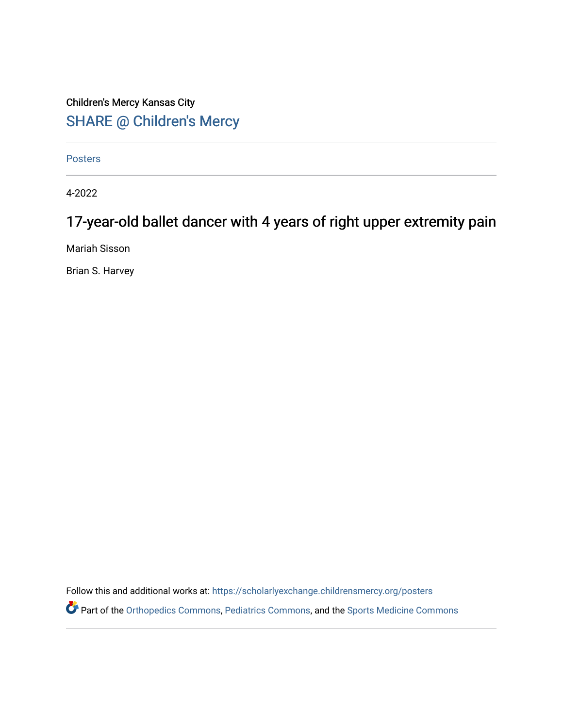## Children's Mercy Kansas City SHARE @ Children's Mercy

**Posters** 

4-2022

## 17-year-old ballet dancer with 4 years of right upper extremity pain

Mariah Sisson

Brian S. Harvey

Follow this and additional works at: [https://scholarlyexchange.childrensmercy.org/posters](https://scholarlyexchange.childrensmercy.org/posters?utm_source=scholarlyexchange.childrensmercy.org%2Fposters%2F263&utm_medium=PDF&utm_campaign=PDFCoverPages) 

Part of the [Orthopedics Commons](http://network.bepress.com/hgg/discipline/696?utm_source=scholarlyexchange.childrensmercy.org%2Fposters%2F263&utm_medium=PDF&utm_campaign=PDFCoverPages), [Pediatrics Commons,](http://network.bepress.com/hgg/discipline/700?utm_source=scholarlyexchange.childrensmercy.org%2Fposters%2F263&utm_medium=PDF&utm_campaign=PDFCoverPages) and the [Sports Medicine Commons](http://network.bepress.com/hgg/discipline/1331?utm_source=scholarlyexchange.childrensmercy.org%2Fposters%2F263&utm_medium=PDF&utm_campaign=PDFCoverPages)